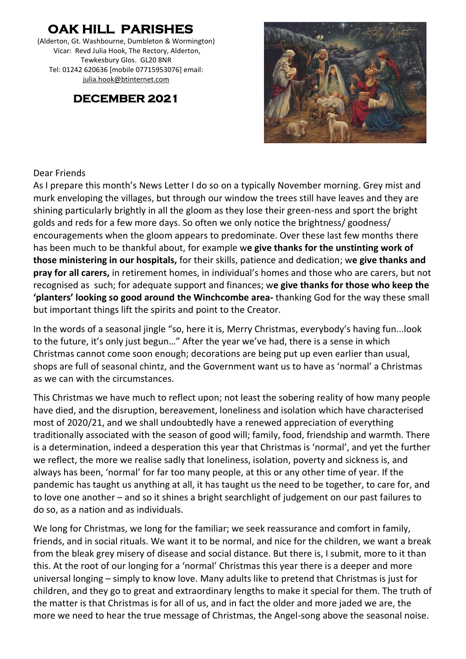# **OAK HILL PARISHES**

(Alderton, Gt. Washbourne, Dumbleton & Wormington) Vicar: Revd Julia Hook, The Rectory, Alderton, Tewkesbury Glos. GL20 8NR Tel: 01242 620636 [mobile 07715953076] email: [julia.hook@btinternet.com](mailto:julia.hook@btinternet.com)

# **DECEMBER 2021**



#### Dear Friends

As I prepare this month's News Letter I do so on a typically November morning. Grey mist and murk enveloping the villages, but through our window the trees still have leaves and they are shining particularly brightly in all the gloom as they lose their green-ness and sport the bright golds and reds for a few more days. So often we only notice the brightness/ goodness/ encouragements when the gloom appears to predominate. Over these last few months there has been much to be thankful about, for example w**e give thanks for the unstinting work of those ministering in our hospitals,** for their skills, patience and dedication; w**e give thanks and pray for all carers,** in retirement homes, in individual's homes and those who are carers, but not recognised as such; for adequate support and finances; w**e give thanks for those who keep the 'planters' looking so good around the Winchcombe area-** thanking God for the way these small but important things lift the spirits and point to the Creator.

In the words of a seasonal jingle "so, here it is, Merry Christmas, everybody's having fun...look to the future, it's only just begun…" After the year we've had, there is a sense in which Christmas cannot come soon enough; decorations are being put up even earlier than usual, shops are full of seasonal chintz, and the Government want us to have as 'normal' a Christmas as we can with the circumstances.

This Christmas we have much to reflect upon; not least the sobering reality of how many people have died, and the disruption, bereavement, loneliness and isolation which have characterised most of 2020/21, and we shall undoubtedly have a renewed appreciation of everything traditionally associated with the season of good will; family, food, friendship and warmth. There is a determination, indeed a desperation this year that Christmas is 'normal', and yet the further we reflect, the more we realise sadly that loneliness, isolation, poverty and sickness is, and always has been, 'normal' for far too many people, at this or any other time of year. If the pandemic has taught us anything at all, it has taught us the need to be together, to care for, and to love one another – and so it shines a bright searchlight of judgement on our past failures to do so, as a nation and as individuals.

We long for Christmas, we long for the familiar; we seek reassurance and comfort in family, friends, and in social rituals. We want it to be normal, and nice for the children, we want a break from the bleak grey misery of disease and social distance. But there is, I submit, more to it than this. At the root of our longing for a 'normal' Christmas this year there is a deeper and more universal longing – simply to know love. Many adults like to pretend that Christmas is just for children, and they go to great and extraordinary lengths to make it special for them. The truth of the matter is that Christmas is for all of us, and in fact the older and more jaded we are, the more we need to hear the true message of Christmas, the Angel-song above the seasonal noise.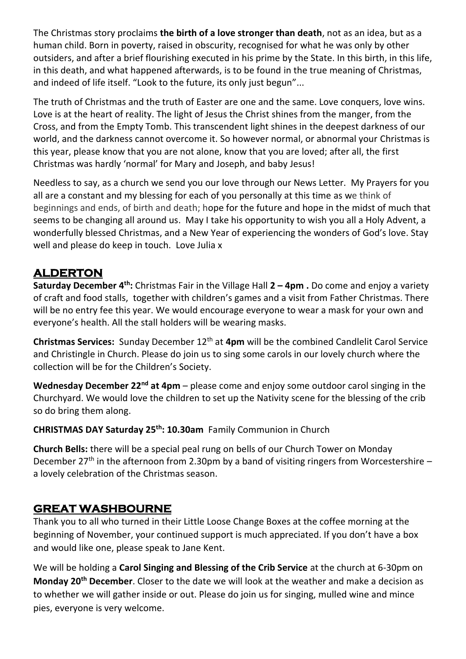The Christmas story proclaims **the birth of a love stronger than death**, not as an idea, but as a human child. Born in poverty, raised in obscurity, recognised for what he was only by other outsiders, and after a brief flourishing executed in his prime by the State. In this birth, in this life, in this death, and what happened afterwards, is to be found in the true meaning of Christmas, and indeed of life itself. "Look to the future, its only just begun"...

The truth of Christmas and the truth of Easter are one and the same. Love conquers, love wins. Love is at the heart of reality. The light of Jesus the Christ shines from the manger, from the Cross, and from the Empty Tomb. This transcendent light shines in the deepest darkness of our world, and the darkness cannot overcome it. So however normal, or abnormal your Christmas is this year, please know that you are not alone, know that you are loved; after all, the first Christmas was hardly 'normal' for Mary and Joseph, and baby Jesus!

Needless to say, as a church we send you our love through our News Letter. My Prayers for you all are a constant and my blessing for each of you personally at this time as we think of beginnings and ends, of birth and death; hope for the future and hope in the midst of much that seems to be changing all around us. May I take his opportunity to wish you all a Holy Advent, a wonderfully blessed Christmas, and a New Year of experiencing the wonders of God's love. Stay well and please do keep in touch. Love Julia x

# **ALDERTON**

**Saturday December 4th:** Christmas Fair in the Village Hall **2 – 4pm .** Do come and enjoy a variety of craft and food stalls, together with children's games and a visit from Father Christmas. There will be no entry fee this year. We would encourage everyone to wear a mask for your own and everyone's health. All the stall holders will be wearing masks.

**Christmas Services:** Sunday December 12th at **4pm** will be the combined Candlelit Carol Service and Christingle in Church. Please do join us to sing some carols in our lovely church where the collection will be for the Children's Society.

**Wednesday December 22nd at 4pm** – please come and enjoy some outdoor carol singing in the Churchyard. We would love the children to set up the Nativity scene for the blessing of the crib so do bring them along.

**CHRISTMAS DAY Saturday 25th: 10.30am** Family Communion in Church

**Church Bells:** there will be a special peal rung on bells of our Church Tower on Monday December 27<sup>th</sup> in the afternoon from 2.30pm by a band of visiting ringers from Worcestershire a lovely celebration of the Christmas season.

### **GREAT WASHBOURNE**

Thank you to all who turned in their Little Loose Change Boxes at the coffee morning at the beginning of November, your continued support is much appreciated. If you don't have a box and would like one, please speak to Jane Kent.

We will be holding a **Carol Singing and Blessing of the Crib Service** at the church at 6-30pm on **Monday 20th December**. Closer to the date we will look at the weather and make a decision as to whether we will gather inside or out. Please do join us for singing, mulled wine and mince pies, everyone is very welcome.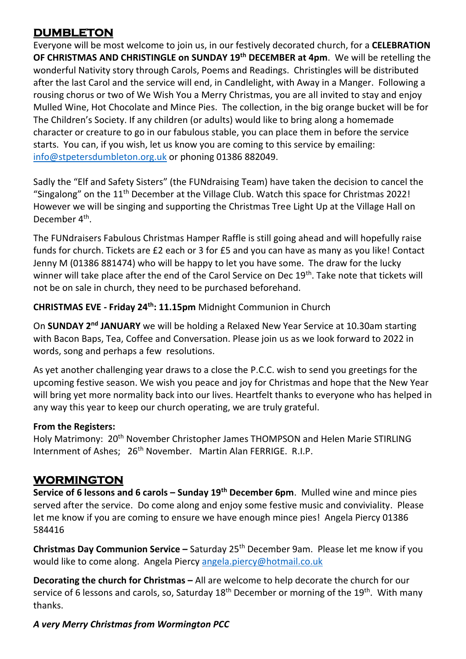## **DUMBLETON**

Everyone will be most welcome to join us, in our festively decorated church, for a **CELEBRATION OF CHRISTMAS AND CHRISTINGLE on SUNDAY 19th DECEMBER at 4pm**. We will be retelling the wonderful Nativity story through Carols, Poems and Readings. Christingles will be distributed after the last Carol and the service will end, in Candlelight, with Away in a Manger. Following a rousing chorus or two of We Wish You a Merry Christmas, you are all invited to stay and enjoy Mulled Wine, Hot Chocolate and Mince Pies. The collection, in the big orange bucket will be for The Children's Society. If any children (or adults) would like to bring along a homemade character or creature to go in our fabulous stable, you can place them in before the service starts. You can, if you wish, let us know you are coming to this service by emailing: [info@stpetersdumbleton.org.uk](mailto:info@stpetersdumbleton.org.uk) or phoning 01386 882049.

Sadly the "Elf and Safety Sisters" (the FUNdraising Team) have taken the decision to cancel the "Singalong" on the 11<sup>th</sup> December at the Village Club. Watch this space for Christmas 2022! However we will be singing and supporting the Christmas Tree Light Up at the Village Hall on December 4<sup>th</sup>.

The FUNdraisers Fabulous Christmas Hamper Raffle is still going ahead and will hopefully raise funds for church. Tickets are £2 each or 3 for £5 and you can have as many as you like! Contact Jenny M (01386 881474) who will be happy to let you have some. The draw for the lucky winner will take place after the end of the Carol Service on Dec 19<sup>th</sup>. Take note that tickets will not be on sale in church, they need to be purchased beforehand.

#### **CHRISTMAS EVE - Friday 24th: 11.15pm** Midnight Communion in Church

On **SUNDAY 2nd JANUARY** we will be holding a Relaxed New Year Service at 10.30am starting with Bacon Baps, Tea, Coffee and Conversation. Please join us as we look forward to 2022 in words, song and perhaps a few resolutions.

As yet another challenging year draws to a close the P.C.C. wish to send you greetings for the upcoming festive season. We wish you peace and joy for Christmas and hope that the New Year will bring yet more normality back into our lives. Heartfelt thanks to everyone who has helped in any way this year to keep our church operating, we are truly grateful.

#### **From the Registers:**

Holy Matrimony: 20<sup>th</sup> November Christopher James THOMPSON and Helen Marie STIRLING Internment of Ashes; 26<sup>th</sup> November. Martin Alan FERRIGE. R.I.P.

# **WORMINGTON**

**Service of 6 lessons and 6 carols – Sunday 19th December 6pm**. Mulled wine and mince pies served after the service. Do come along and enjoy some festive music and conviviality. Please let me know if you are coming to ensure we have enough mince pies! Angela Piercy 01386 584416

**Christmas Day Communion Service –** Saturday 25th December 9am. Please let me know if you would like to come along. Angela Piercy [angela.piercy@hotmail.co.uk](mailto:angela.piercy@hotmail.co.uk)

**Decorating the church for Christmas –** All are welcome to help decorate the church for our service of 6 lessons and carols, so, Saturday 18<sup>th</sup> December or morning of the 19<sup>th</sup>. With many thanks.

### *A very Merry Christmas from Wormington PCC*